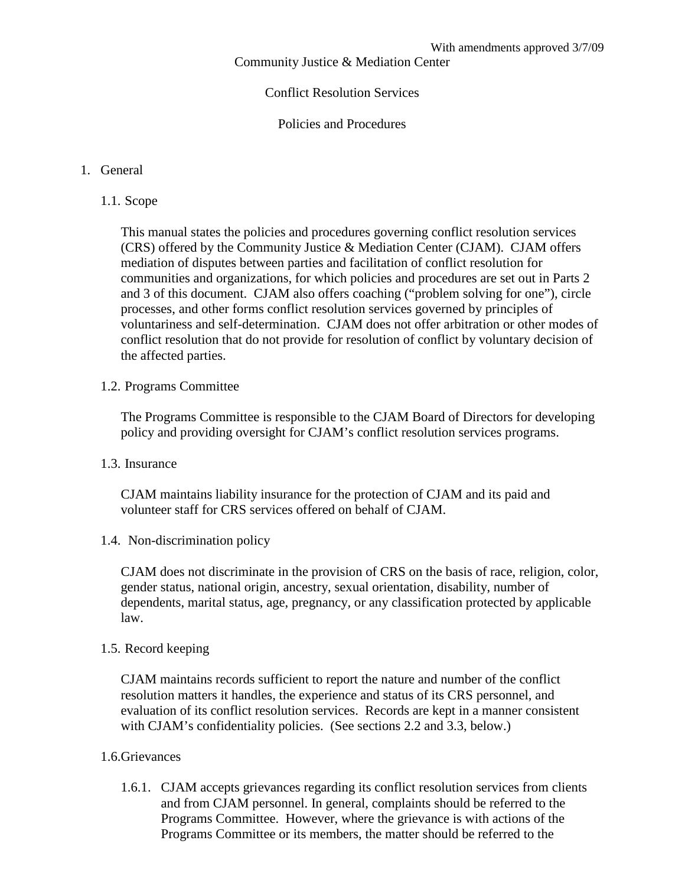Community Justice & Mediation Center

### Conflict Resolution Services

Policies and Procedures

#### 1. General

1.1. Scope

This manual states the policies and procedures governing conflict resolution services (CRS) offered by the Community Justice & Mediation Center (CJAM). CJAM offers mediation of disputes between parties and facilitation of conflict resolution for communities and organizations, for which policies and procedures are set out in Parts 2 and 3 of this document. CJAM also offers coaching ("problem solving for one"), circle processes, and other forms conflict resolution services governed by principles of voluntariness and self-determination. CJAM does not offer arbitration or other modes of conflict resolution that do not provide for resolution of conflict by voluntary decision of the affected parties.

1.2. Programs Committee

The Programs Committee is responsible to the CJAM Board of Directors for developing policy and providing oversight for CJAM's conflict resolution services programs.

1.3. Insurance

CJAM maintains liability insurance for the protection of CJAM and its paid and volunteer staff for CRS services offered on behalf of CJAM.

1.4. Non-discrimination policy

CJAM does not discriminate in the provision of CRS on the basis of race, religion, color, gender status, national origin, ancestry, sexual orientation, disability, number of dependents, marital status, age, pregnancy, or any classification protected by applicable law.

### 1.5. Record keeping

CJAM maintains records sufficient to report the nature and number of the conflict resolution matters it handles, the experience and status of its CRS personnel, and evaluation of its conflict resolution services. Records are kept in a manner consistent with CJAM's confidentiality policies. (See sections 2.2 and 3.3, below.)

### 1.6.Grievances

1.6.1. CJAM accepts grievances regarding its conflict resolution services from clients and from CJAM personnel. In general, complaints should be referred to the Programs Committee. However, where the grievance is with actions of the Programs Committee or its members, the matter should be referred to the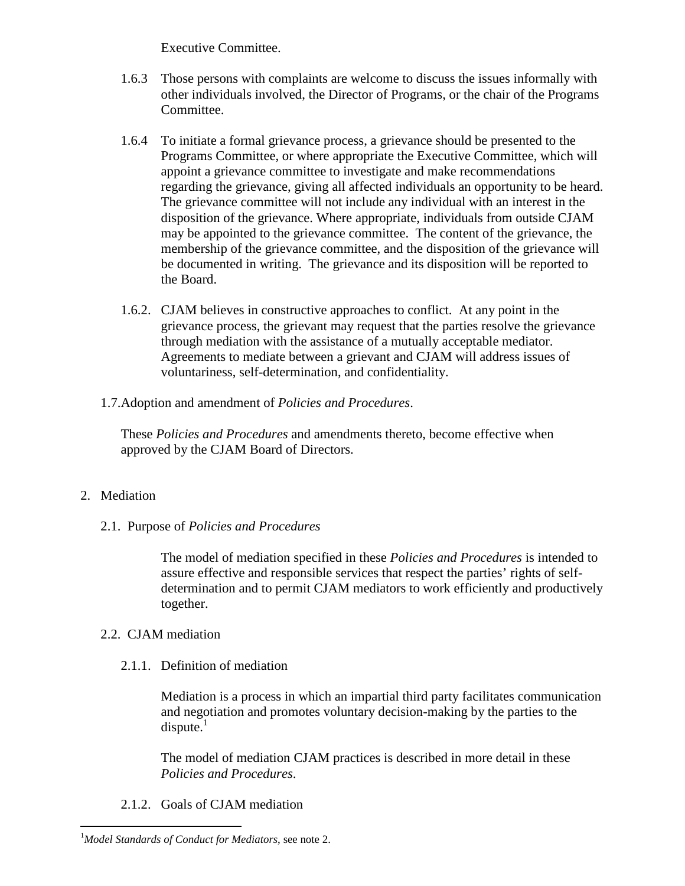Executive Committee.

- 1.6.3 Those persons with complaints are welcome to discuss the issues informally with other individuals involved, the Director of Programs, or the chair of the Programs Committee.
- 1.6.4 To initiate a formal grievance process, a grievance should be presented to the Programs Committee, or where appropriate the Executive Committee, which will appoint a grievance committee to investigate and make recommendations regarding the grievance, giving all affected individuals an opportunity to be heard. The grievance committee will not include any individual with an interest in the disposition of the grievance. Where appropriate, individuals from outside CJAM may be appointed to the grievance committee. The content of the grievance, the membership of the grievance committee, and the disposition of the grievance will be documented in writing. The grievance and its disposition will be reported to the Board.
- 1.6.2. CJAM believes in constructive approaches to conflict. At any point in the grievance process, the grievant may request that the parties resolve the grievance through mediation with the assistance of a mutually acceptable mediator. Agreements to mediate between a grievant and CJAM will address issues of voluntariness, self-determination, and confidentiality.
- 1.7.Adoption and amendment of *Policies and Procedures*.

These *Policies and Procedures* and amendments thereto, become effective when approved by the CJAM Board of Directors.

# 2. Mediation

2.1. Purpose of *Policies and Procedures*

The model of mediation specified in these *Policies and Procedures* is intended to assure effective and responsible services that respect the parties' rights of selfdetermination and to permit CJAM mediators to work efficiently and productively together.

# 2.2. CJAM mediation

2.1.1. Definition of mediation

Mediation is a process in which an impartial third party facilitates communication and negotiation and promotes voluntary decision-making by the parties to the  $dispute.<sup>1</sup>$ 

The model of mediation CJAM practices is described in more detail in these *Policies and Procedures*.

2.1.2. Goals of CJAM mediation

<sup>1</sup>*Model Standards of Conduct for Mediators*, see note 2.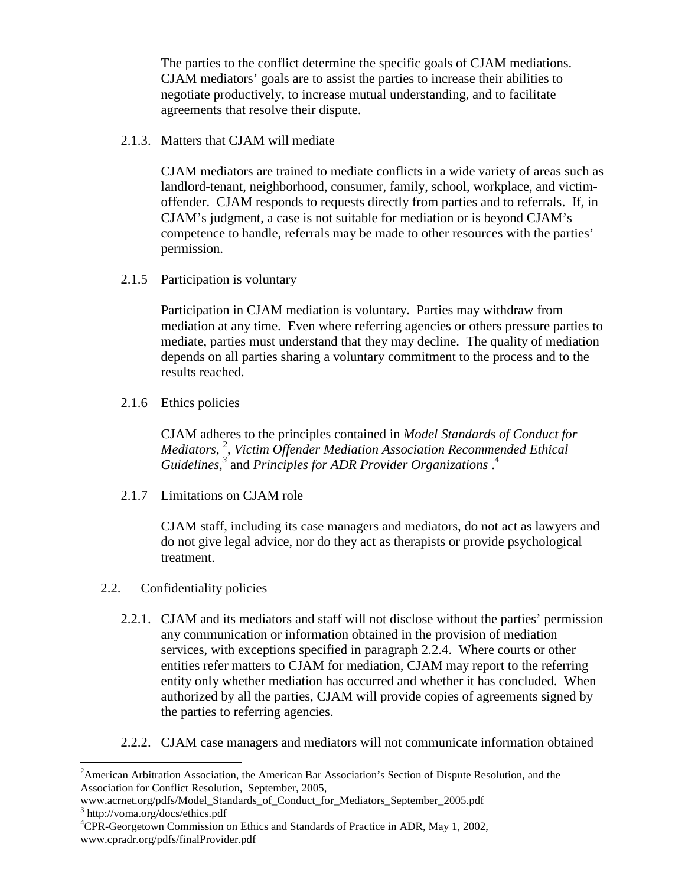The parties to the conflict determine the specific goals of CJAM mediations. CJAM mediators' goals are to assist the parties to increase their abilities to negotiate productively, to increase mutual understanding, and to facilitate agreements that resolve their dispute.

2.1.3. Matters that CJAM will mediate

CJAM mediators are trained to mediate conflicts in a wide variety of areas such as landlord-tenant, neighborhood, consumer, family, school, workplace, and victimoffender. CJAM responds to requests directly from parties and to referrals. If, in CJAM's judgment, a case is not suitable for mediation or is beyond CJAM's competence to handle, referrals may be made to other resources with the parties' permission.

2.1.5 Participation is voluntary

Participation in CJAM mediation is voluntary. Parties may withdraw from mediation at any time. Even where referring agencies or others pressure parties to mediate, parties must understand that they may decline. The quality of mediation depends on all parties sharing a voluntary commitment to the process and to the results reached.

2.1.6 Ethics policies

CJAM adheres to the principles contained in *Model Standards of Conduct for Mediators,* <sup>2</sup> , *Victim Offender Mediation Association Recommended Ethical Guidelines,<sup>3</sup>* and *Principles for ADR Provider Organizations* . 4

2.1.7 Limitations on CJAM role

CJAM staff, including its case managers and mediators, do not act as lawyers and do not give legal advice, nor do they act as therapists or provide psychological treatment.

- 2.2. Confidentiality policies
	- 2.2.1. CJAM and its mediators and staff will not disclose without the parties' permission any communication or information obtained in the provision of mediation services, with exceptions specified in paragraph 2.2.4. Where courts or other entities refer matters to CJAM for mediation, CJAM may report to the referring entity only whether mediation has occurred and whether it has concluded. When authorized by all the parties, CJAM will provide copies of agreements signed by the parties to referring agencies.
	- 2.2.2. CJAM case managers and mediators will not communicate information obtained

<sup>&</sup>lt;sup>2</sup> American Arbitration Association, the American Bar Association's Section of Dispute Resolution, and the Association for Conflict Resolution, September, 2005,

www.acrnet.org/pdfs/Model\_Standards\_of\_Conduct\_for\_Mediators\_September\_2005.pdf 3 http://voma.org/docs/ethics.pdf

<sup>4</sup>CPR-Georgetown Commission on Ethics and Standards of Practice in ADR, May 1, 2002, www.cpradr.org/pdfs/finalProvider.pdf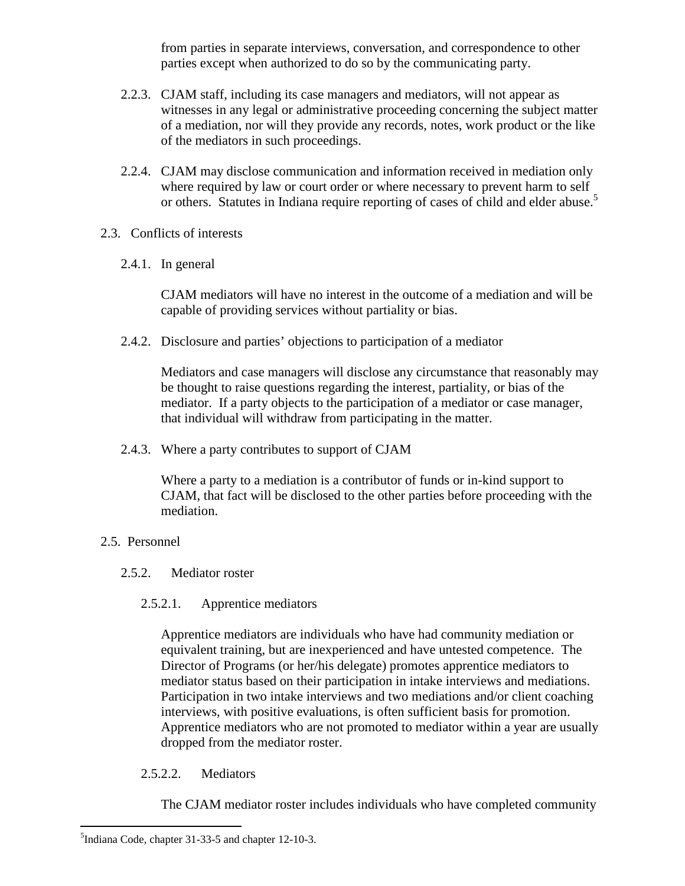from parties in separate interviews, conversation, and correspondence to other parties except when authorized to do so by the communicating party.

- 2.2.3. CJAM staff, including its case managers and mediators, will not appear as witnesses in any legal or administrative proceeding concerning the subject matter of a mediation, nor will they provide any records, notes, work product or the like of the mediators in such proceedings.
- 2.2.4. CJAM may disclose communication and information received in mediation only where required by law or court order or where necessary to prevent harm to self or others. Statutes in Indiana require reporting of cases of child and elder abuse.<sup>5</sup>
- 2.3. Conflicts of interests
	- 2.4.1. In general

CJAM mediators will have no interest in the outcome of a mediation and will be capable of providing services without partiality or bias.

2.4.2. Disclosure and parties' objections to participation of a mediator

Mediators and case managers will disclose any circumstance that reasonably may be thought to raise questions regarding the interest, partiality, or bias of the mediator. If a party objects to the participation of a mediator or case manager, that individual will withdraw from participating in the matter.

2.4.3. Where a party contributes to support of CJAM

Where a party to a mediation is a contributor of funds or in-kind support to CJAM, that fact will be disclosed to the other parties before proceeding with the mediation.

- 2.5. Personnel
	- 2.5.2. Mediator roster
		- 2.5.2.1. Apprentice mediators

Apprentice mediators are individuals who have had community mediation or equivalent training, but are inexperienced and have untested competence. The Director of Programs (or her/his delegate) promotes apprentice mediators to mediator status based on their participation in intake interviews and mediations. Participation in two intake interviews and two mediations and/or client coaching interviews, with positive evaluations, is often sufficient basis for promotion. Apprentice mediators who are not promoted to mediator within a year are usually dropped from the mediator roster.

2.5.2.2. Mediators

The CJAM mediator roster includes individuals who have completed community

<sup>&</sup>lt;sup>5</sup>Indiana Code, chapter 31-33-5 and chapter 12-10-3.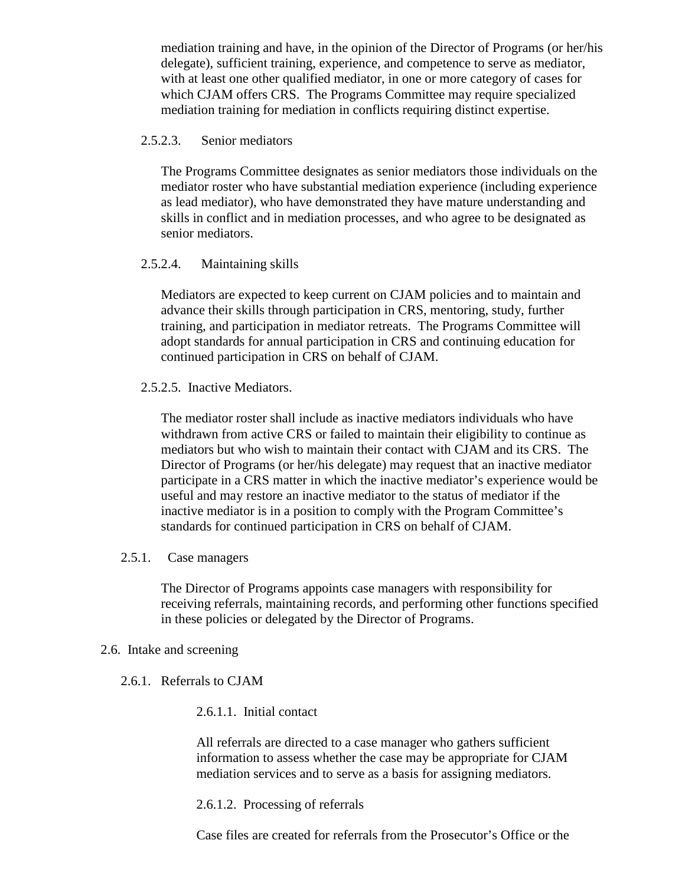mediation training and have, in the opinion of the Director of Programs (or her/his delegate), sufficient training, experience, and competence to serve as mediator, with at least one other qualified mediator, in one or more category of cases for which CJAM offers CRS. The Programs Committee may require specialized mediation training for mediation in conflicts requiring distinct expertise.

### 2.5.2.3. Senior mediators

The Programs Committee designates as senior mediators those individuals on the mediator roster who have substantial mediation experience (including experience as lead mediator), who have demonstrated they have mature understanding and skills in conflict and in mediation processes, and who agree to be designated as senior mediators.

## 2.5.2.4. Maintaining skills

Mediators are expected to keep current on CJAM policies and to maintain and advance their skills through participation in CRS, mentoring, study, further training, and participation in mediator retreats. The Programs Committee will adopt standards for annual participation in CRS and continuing education for continued participation in CRS on behalf of CJAM.

## 2.5.2.5. Inactive Mediators.

The mediator roster shall include as inactive mediators individuals who have withdrawn from active CRS or failed to maintain their eligibility to continue as mediators but who wish to maintain their contact with CJAM and its CRS. The Director of Programs (or her/his delegate) may request that an inactive mediator participate in a CRS matter in which the inactive mediator's experience would be useful and may restore an inactive mediator to the status of mediator if the inactive mediator is in a position to comply with the Program Committee's standards for continued participation in CRS on behalf of CJAM.

### 2.5.1. Case managers

The Director of Programs appoints case managers with responsibility for receiving referrals, maintaining records, and performing other functions specified in these policies or delegated by the Director of Programs.

### 2.6. Intake and screening

2.6.1. Referrals to CJAM

### 2.6.1.1. Initial contact

All referrals are directed to a case manager who gathers sufficient information to assess whether the case may be appropriate for CJAM mediation services and to serve as a basis for assigning mediators.

### 2.6.1.2. Processing of referrals

Case files are created for referrals from the Prosecutor's Office or the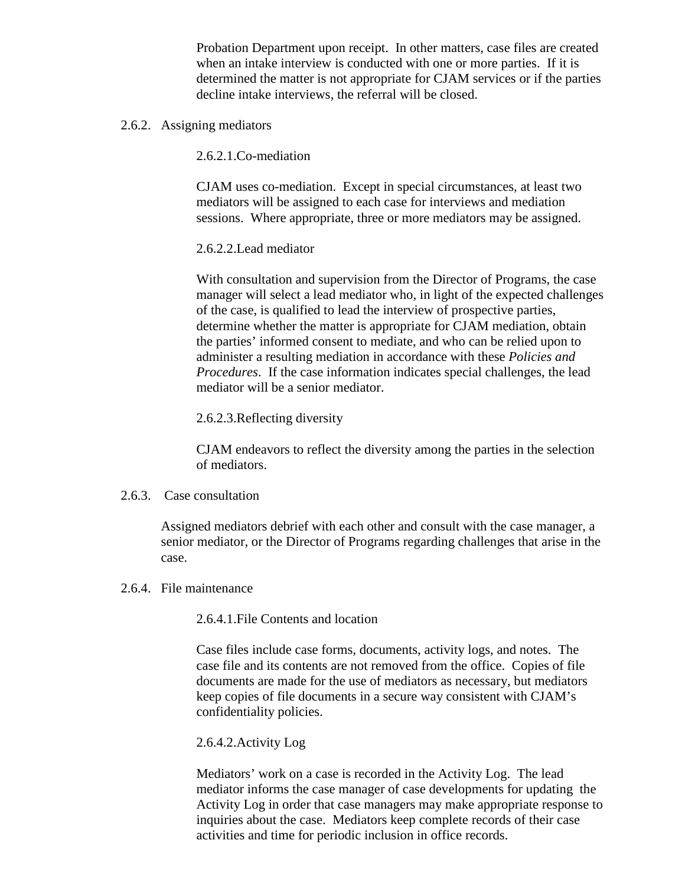Probation Department upon receipt. In other matters, case files are created when an intake interview is conducted with one or more parties. If it is determined the matter is not appropriate for CJAM services or if the parties decline intake interviews, the referral will be closed.

2.6.2. Assigning mediators

2.6.2.1.Co-mediation

CJAM uses co-mediation. Except in special circumstances, at least two mediators will be assigned to each case for interviews and mediation sessions. Where appropriate, three or more mediators may be assigned.

#### 2.6.2.2.Lead mediator

With consultation and supervision from the Director of Programs, the case manager will select a lead mediator who, in light of the expected challenges of the case, is qualified to lead the interview of prospective parties, determine whether the matter is appropriate for CJAM mediation, obtain the parties' informed consent to mediate, and who can be relied upon to administer a resulting mediation in accordance with these *Policies and Procedures*. If the case information indicates special challenges, the lead mediator will be a senior mediator.

#### 2.6.2.3.Reflecting diversity

CJAM endeavors to reflect the diversity among the parties in the selection of mediators.

#### 2.6.3. Case consultation

Assigned mediators debrief with each other and consult with the case manager, a senior mediator, or the Director of Programs regarding challenges that arise in the case.

2.6.4. File maintenance

2.6.4.1.File Contents and location

Case files include case forms, documents, activity logs, and notes. The case file and its contents are not removed from the office. Copies of file documents are made for the use of mediators as necessary, but mediators keep copies of file documents in a secure way consistent with CJAM's confidentiality policies.

#### 2.6.4.2.Activity Log

Mediators' work on a case is recorded in the Activity Log. The lead mediator informs the case manager of case developments for updating the Activity Log in order that case managers may make appropriate response to inquiries about the case. Mediators keep complete records of their case activities and time for periodic inclusion in office records.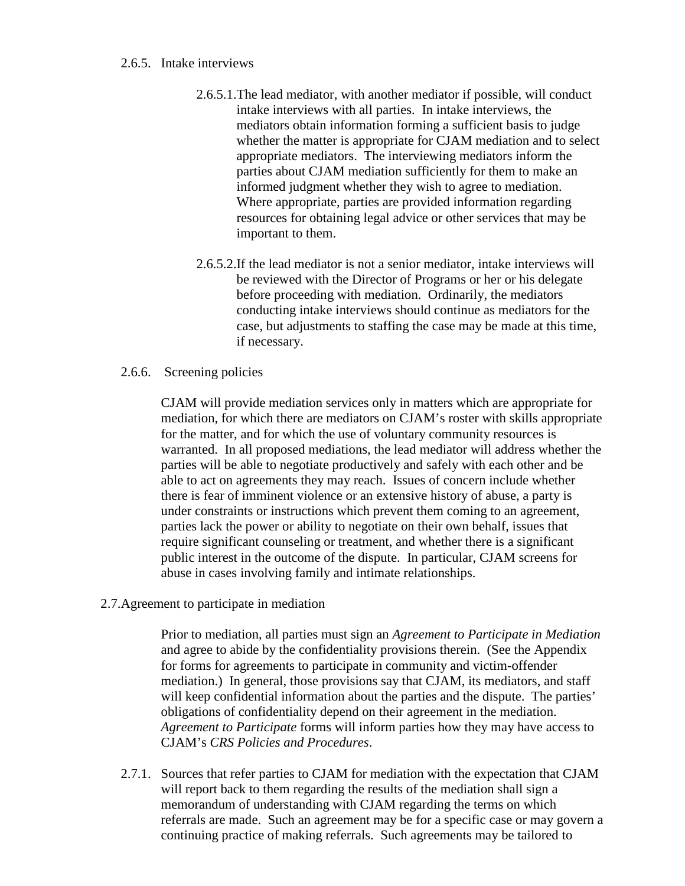#### 2.6.5. Intake interviews

- 2.6.5.1.The lead mediator, with another mediator if possible, will conduct intake interviews with all parties. In intake interviews, the mediators obtain information forming a sufficient basis to judge whether the matter is appropriate for CJAM mediation and to select appropriate mediators. The interviewing mediators inform the parties about CJAM mediation sufficiently for them to make an informed judgment whether they wish to agree to mediation. Where appropriate, parties are provided information regarding resources for obtaining legal advice or other services that may be important to them.
- 2.6.5.2.If the lead mediator is not a senior mediator, intake interviews will be reviewed with the Director of Programs or her or his delegate before proceeding with mediation. Ordinarily, the mediators conducting intake interviews should continue as mediators for the case, but adjustments to staffing the case may be made at this time, if necessary.
- 2.6.6. Screening policies

CJAM will provide mediation services only in matters which are appropriate for mediation, for which there are mediators on CJAM's roster with skills appropriate for the matter, and for which the use of voluntary community resources is warranted. In all proposed mediations, the lead mediator will address whether the parties will be able to negotiate productively and safely with each other and be able to act on agreements they may reach. Issues of concern include whether there is fear of imminent violence or an extensive history of abuse, a party is under constraints or instructions which prevent them coming to an agreement, parties lack the power or ability to negotiate on their own behalf, issues that require significant counseling or treatment, and whether there is a significant public interest in the outcome of the dispute. In particular, CJAM screens for abuse in cases involving family and intimate relationships.

2.7.Agreement to participate in mediation

Prior to mediation, all parties must sign an *Agreement to Participate in Mediation* and agree to abide by the confidentiality provisions therein. (See the Appendix for forms for agreements to participate in community and victim-offender mediation.) In general, those provisions say that CJAM, its mediators, and staff will keep confidential information about the parties and the dispute. The parties' obligations of confidentiality depend on their agreement in the mediation. *Agreement to Participate* forms will inform parties how they may have access to CJAM's *CRS Policies and Procedures*.

2.7.1. Sources that refer parties to CJAM for mediation with the expectation that CJAM will report back to them regarding the results of the mediation shall sign a memorandum of understanding with CJAM regarding the terms on which referrals are made. Such an agreement may be for a specific case or may govern a continuing practice of making referrals. Such agreements may be tailored to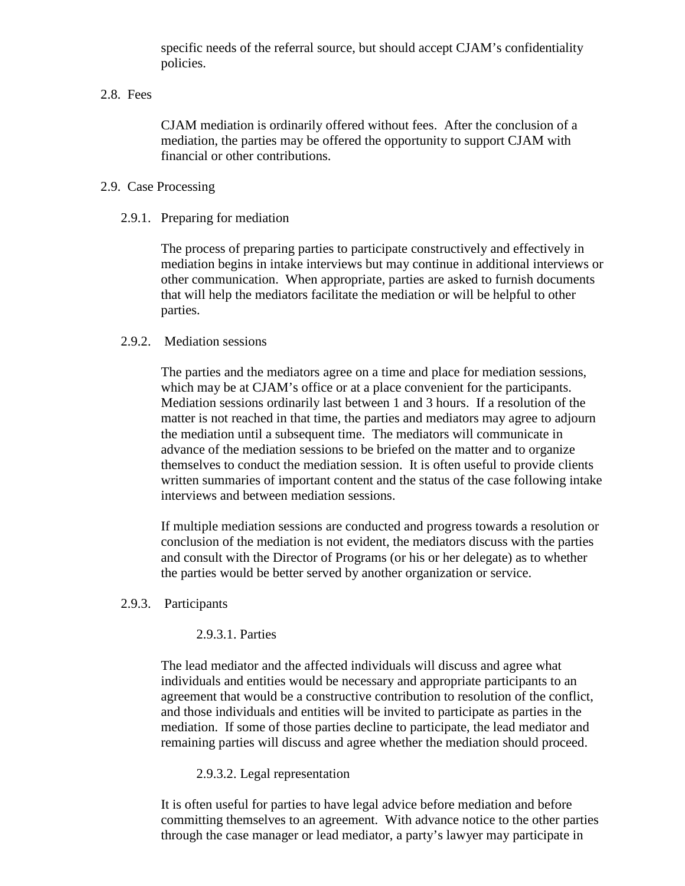specific needs of the referral source, but should accept CJAM's confidentiality policies.

#### 2.8. Fees

CJAM mediation is ordinarily offered without fees. After the conclusion of a mediation, the parties may be offered the opportunity to support CJAM with financial or other contributions.

#### 2.9. Case Processing

#### 2.9.1. Preparing for mediation

The process of preparing parties to participate constructively and effectively in mediation begins in intake interviews but may continue in additional interviews or other communication. When appropriate, parties are asked to furnish documents that will help the mediators facilitate the mediation or will be helpful to other parties.

#### 2.9.2. Mediation sessions

The parties and the mediators agree on a time and place for mediation sessions, which may be at CJAM's office or at a place convenient for the participants. Mediation sessions ordinarily last between 1 and 3 hours. If a resolution of the matter is not reached in that time, the parties and mediators may agree to adjourn the mediation until a subsequent time. The mediators will communicate in advance of the mediation sessions to be briefed on the matter and to organize themselves to conduct the mediation session. It is often useful to provide clients written summaries of important content and the status of the case following intake interviews and between mediation sessions.

If multiple mediation sessions are conducted and progress towards a resolution or conclusion of the mediation is not evident, the mediators discuss with the parties and consult with the Director of Programs (or his or her delegate) as to whether the parties would be better served by another organization or service.

#### 2.9.3. Participants

### 2.9.3.1. Parties

The lead mediator and the affected individuals will discuss and agree what individuals and entities would be necessary and appropriate participants to an agreement that would be a constructive contribution to resolution of the conflict, and those individuals and entities will be invited to participate as parties in the mediation. If some of those parties decline to participate, the lead mediator and remaining parties will discuss and agree whether the mediation should proceed.

#### 2.9.3.2. Legal representation

It is often useful for parties to have legal advice before mediation and before committing themselves to an agreement. With advance notice to the other parties through the case manager or lead mediator, a party's lawyer may participate in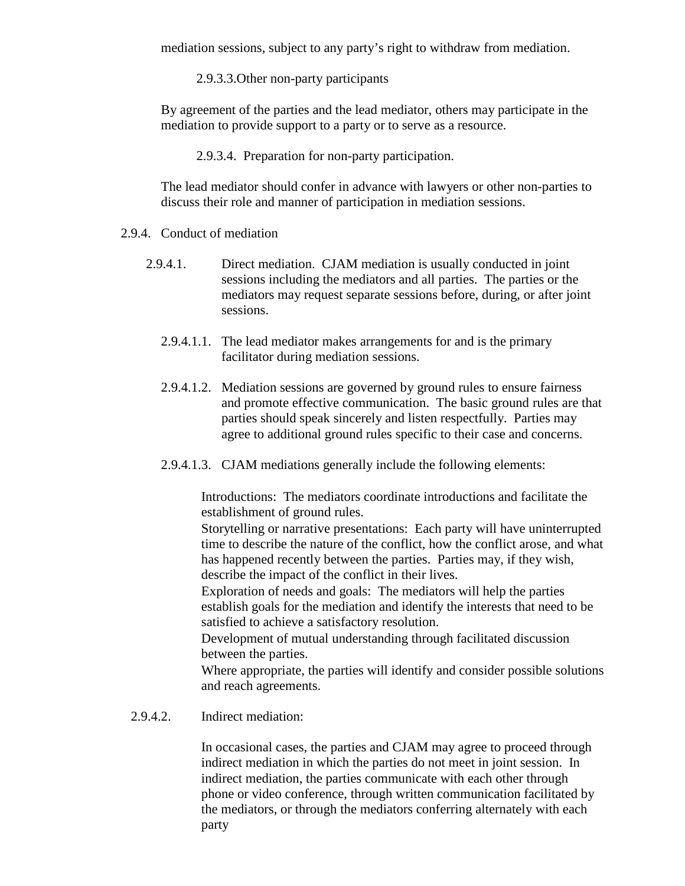mediation sessions, subject to any party's right to withdraw from mediation.

2.9.3.3.Other non-party participants

By agreement of the parties and the lead mediator, others may participate in the mediation to provide support to a party or to serve as a resource.

2.9.3.4. Preparation for non-party participation.

The lead mediator should confer in advance with lawyers or other non-parties to discuss their role and manner of participation in mediation sessions.

- 2.9.4. Conduct of mediation
	- 2.9.4.1. Direct mediation. CJAM mediation is usually conducted in joint sessions including the mediators and all parties. The parties or the mediators may request separate sessions before, during, or after joint sessions.
		- 2.9.4.1.1. The lead mediator makes arrangements for and is the primary facilitator during mediation sessions.
		- 2.9.4.1.2. Mediation sessions are governed by ground rules to ensure fairness and promote effective communication. The basic ground rules are that parties should speak sincerely and listen respectfully. Parties may agree to additional ground rules specific to their case and concerns.
		- 2.9.4.1.3. CJAM mediations generally include the following elements:
			- x Introductions: The mediators coordinate introductions and facilitate the establishment of ground rules.
			- x Storytelling or narrative presentations: Each party will have uninterrupted time to describe the nature of the conflict, how the conflict arose, and what has happened recently between the parties. Parties may, if they wish, describe the impact of the conflict in their lives.
			- $\langle$  Exploration of needs and goals: The mediators will help the parties establish goals for the mediation and identify the interests that need to be satisfied to achieve a satisfactory resolution.
			- $\left\langle \right\rangle$  Development of mutual understanding through facilitated discussion between the parties.
			- x Where appropriate, the parties will identify and consider possible solutions and reach agreements.
	- 2.9.4.2. Indirect mediation:

In occasional cases, the parties and CJAM may agree to proceed through indirect mediation in which the parties do not meet in joint session. In indirect mediation, the parties communicate with each other through phone or video conference, through written communication facilitated by the mediators, or through the mediators conferring alternately with each party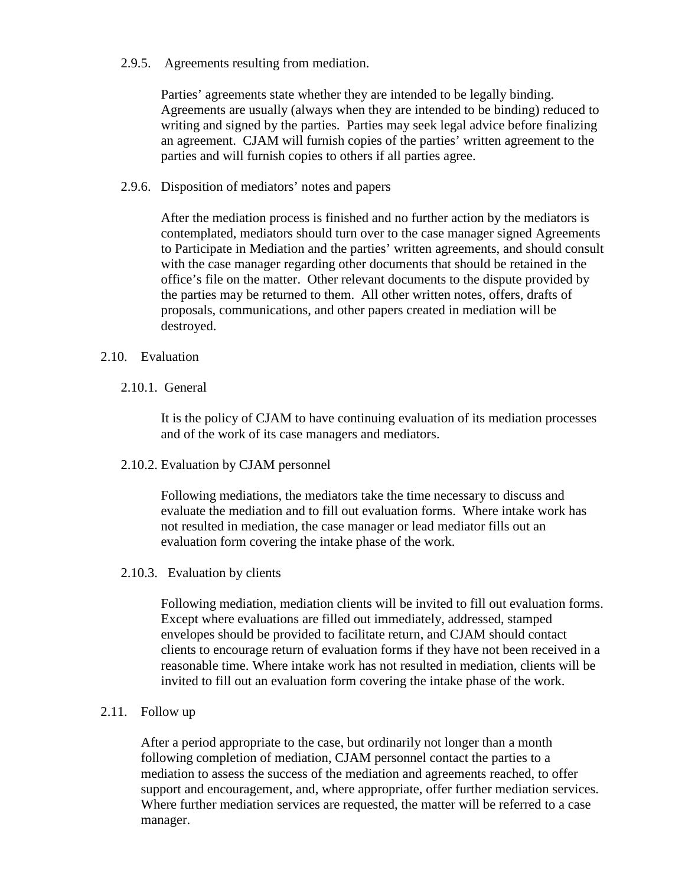2.9.5. Agreements resulting from mediation.

Parties' agreements state whether they are intended to be legally binding. Agreements are usually (always when they are intended to be binding) reduced to writing and signed by the parties. Parties may seek legal advice before finalizing an agreement. CJAM will furnish copies of the parties' written agreement to the parties and will furnish copies to others if all parties agree.

2.9.6. Disposition of mediators' notes and papers

After the mediation process is finished and no further action by the mediators is contemplated, mediators should turn over to the case manager signed Agreements to Participate in Mediation and the parties' written agreements, and should consult with the case manager regarding other documents that should be retained in the office's file on the matter. Other relevant documents to the dispute provided by the parties may be returned to them. All other written notes, offers, drafts of proposals, communications, and other papers created in mediation will be destroyed.

### 2.10. Evaluation

2.10.1. General

It is the policy of CJAM to have continuing evaluation of its mediation processes and of the work of its case managers and mediators.

2.10.2. Evaluation by CJAM personnel

Following mediations, the mediators take the time necessary to discuss and evaluate the mediation and to fill out evaluation forms. Where intake work has not resulted in mediation, the case manager or lead mediator fills out an evaluation form covering the intake phase of the work.

2.10.3. Evaluation by clients

Following mediation, mediation clients will be invited to fill out evaluation forms. Except where evaluations are filled out immediately, addressed, stamped envelopes should be provided to facilitate return, and CJAM should contact clients to encourage return of evaluation forms if they have not been received in a reasonable time. Where intake work has not resulted in mediation, clients will be invited to fill out an evaluation form covering the intake phase of the work.

2.11. Follow up

After a period appropriate to the case, but ordinarily not longer than a month following completion of mediation, CJAM personnel contact the parties to a mediation to assess the success of the mediation and agreements reached, to offer support and encouragement, and, where appropriate, offer further mediation services. Where further mediation services are requested, the matter will be referred to a case manager.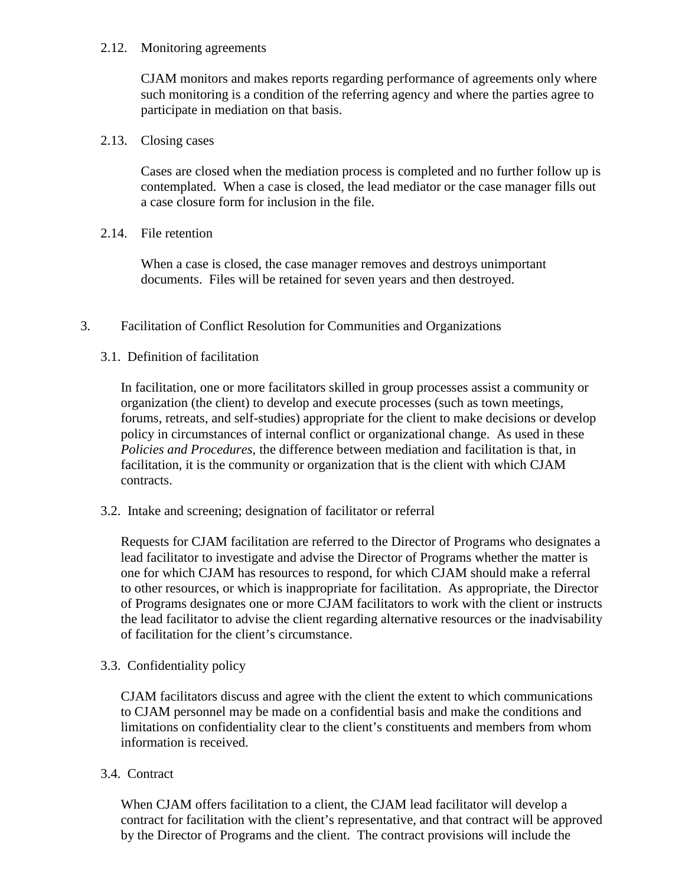### 2.12. Monitoring agreements

CJAM monitors and makes reports regarding performance of agreements only where such monitoring is a condition of the referring agency and where the parties agree to participate in mediation on that basis.

## 2.13. Closing cases

Cases are closed when the mediation process is completed and no further follow up is contemplated. When a case is closed, the lead mediator or the case manager fills out a case closure form for inclusion in the file.

## 2.14. File retention

When a case is closed, the case manager removes and destroys unimportant documents. Files will be retained for seven years and then destroyed.

## 3. Facilitation of Conflict Resolution for Communities and Organizations

## 3.1. Definition of facilitation

In facilitation, one or more facilitators skilled in group processes assist a community or organization (the client) to develop and execute processes (such as town meetings, forums, retreats, and self-studies) appropriate for the client to make decisions or develop policy in circumstances of internal conflict or organizational change. As used in these *Policies and Procedures,* the difference between mediation and facilitation is that, in facilitation, it is the community or organization that is the client with which CJAM contracts.

### 3.2. Intake and screening; designation of facilitator or referral

Requests for CJAM facilitation are referred to the Director of Programs who designates a lead facilitator to investigate and advise the Director of Programs whether the matter is one for which CJAM has resources to respond, for which CJAM should make a referral to other resources, or which is inappropriate for facilitation. As appropriate, the Director of Programs designates one or more CJAM facilitators to work with the client or instructs the lead facilitator to advise the client regarding alternative resources or the inadvisability of facilitation for the client's circumstance.

### 3.3. Confidentiality policy

CJAM facilitators discuss and agree with the client the extent to which communications to CJAM personnel may be made on a confidential basis and make the conditions and limitations on confidentiality clear to the client's constituents and members from whom information is received.

### 3.4. Contract

When CJAM offers facilitation to a client, the CJAM lead facilitator will develop a contract for facilitation with the client's representative, and that contract will be approved by the Director of Programs and the client. The contract provisions will include the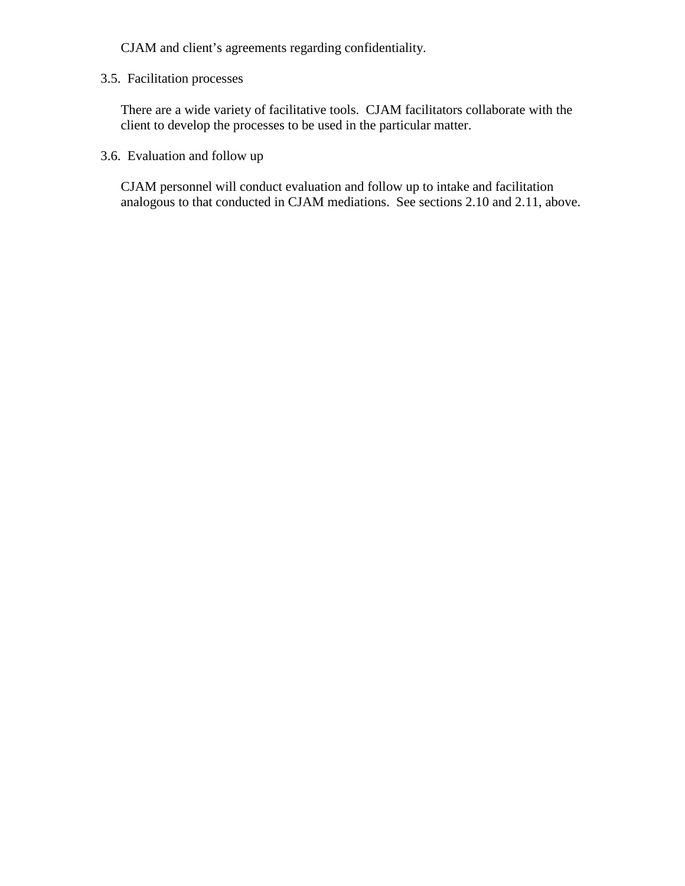CJAM and client's agreements regarding confidentiality.

## 3.5. Facilitation processes

There are a wide variety of facilitative tools. CJAM facilitators collaborate with the client to develop the processes to be used in the particular matter.

3.6. Evaluation and follow up

CJAM personnel will conduct evaluation and follow up to intake and facilitation analogous to that conducted in CJAM mediations. See sections 2.10 and 2.11, above.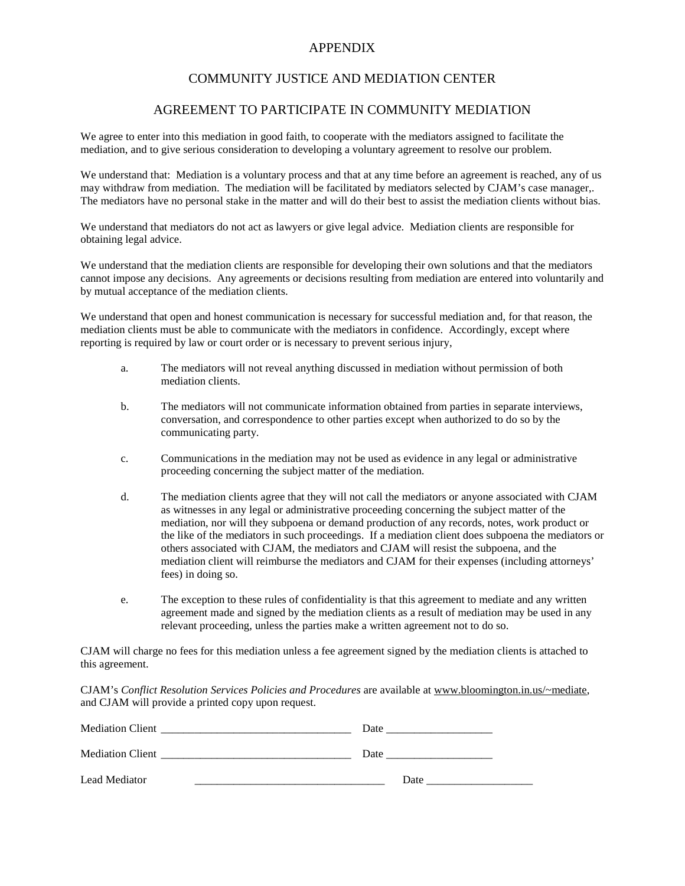#### APPENDIX

#### COMMUNITY JUSTICE AND MEDIATION CENTER

#### AGREEMENT TO PARTICIPATE IN COMMUNITY MEDIATION

We agree to enter into this mediation in good faith, to cooperate with the mediators assigned to facilitate the mediation, and to give serious consideration to developing a voluntary agreement to resolve our problem.

We understand that: Mediation is a voluntary process and that at any time before an agreement is reached, any of us may withdraw from mediation. The mediation will be facilitated by mediators selected by CJAM's case manager,. The mediators have no personal stake in the matter and will do their best to assist the mediation clients without bias.

We understand that mediators do not act as lawyers or give legal advice. Mediation clients are responsible for obtaining legal advice.

We understand that the mediation clients are responsible for developing their own solutions and that the mediators cannot impose any decisions. Any agreements or decisions resulting from mediation are entered into voluntarily and by mutual acceptance of the mediation clients.

We understand that open and honest communication is necessary for successful mediation and, for that reason, the mediation clients must be able to communicate with the mediators in confidence. Accordingly, except where reporting is required by law or court order or is necessary to prevent serious injury,

- a. The mediators will not reveal anything discussed in mediation without permission of both mediation clients.
- b. The mediators will not communicate information obtained from parties in separate interviews, conversation, and correspondence to other parties except when authorized to do so by the communicating party.
- c. Communications in the mediation may not be used as evidence in any legal or administrative proceeding concerning the subject matter of the mediation.
- d. The mediation clients agree that they will not call the mediators or anyone associated with CJAM as witnesses in any legal or administrative proceeding concerning the subject matter of the mediation, nor will they subpoena or demand production of any records, notes, work product or the like of the mediators in such proceedings. If a mediation client does subpoena the mediators or others associated with CJAM, the mediators and CJAM will resist the subpoena, and the mediation client will reimburse the mediators and CJAM for their expenses (including attorneys' fees) in doing so.
- e. The exception to these rules of confidentiality is that this agreement to mediate and any written agreement made and signed by the mediation clients as a result of mediation may be used in any relevant proceeding, unless the parties make a written agreement not to do so.

CJAM will charge no fees for this mediation unless a fee agreement signed by the mediation clients is attached to this agreement.

CJAM's *Conflict Resolution Services Policies and Procedures* are available at www.bloomington.in.us/~mediate, and CJAM will provide a printed copy upon request.

| <b>Mediation Client</b> | Date |
|-------------------------|------|
| <b>Mediation Client</b> | Date |
| Lead Mediator           | Date |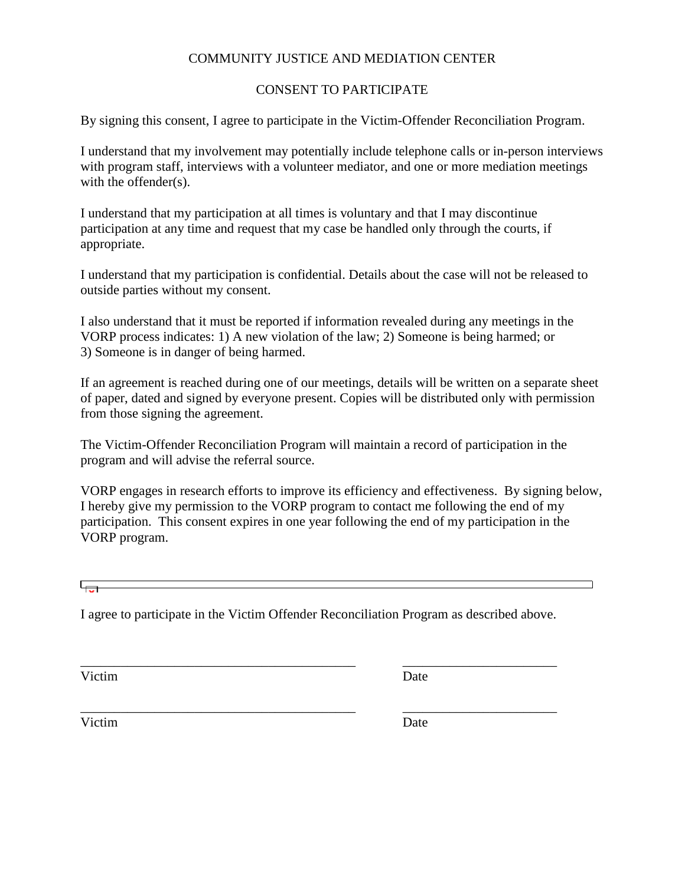# COMMUNITY JUSTICE AND MEDIATION CENTER

# CONSENT TO PARTICIPATE

By signing this consent, I agree to participate in the Victim-Offender Reconciliation Program.

I understand that my involvement may potentially include telephone calls or in-person interviews with program staff, interviews with a volunteer mediator, and one or more mediation meetings with the offender(s).

I understand that my participation at all times is voluntary and that I may discontinue participation at any time and request that my case be handled only through the courts, if appropriate.

I understand that my participation is confidential. Details about the case will not be released to outside parties without my consent.

I also understand that it must be reported if information revealed during any meetings in the VORP process indicates: 1) A new violation of the law; 2) Someone is being harmed; or 3) Someone is in danger of being harmed.

If an agreement is reached during one of our meetings, details will be written on a separate sheet of paper, dated and signed by everyone present. Copies will be distributed only with permission from those signing the agreement.

The Victim-Offender Reconciliation Program will maintain a record of participation in the program and will advise the referral source.

VORP engages in research efforts to improve its efficiency and effectiveness. By signing below, I hereby give my permission to the VORP program to contact me following the end of my participation. This consent expires in one year following the end of my participation in the VORP program.

I agree to participate in the Victim Offender Reconciliation Program as described above.

\_\_\_\_\_\_\_\_\_\_\_\_\_\_\_\_\_\_\_\_\_\_\_\_\_\_\_\_\_\_\_\_\_\_\_\_\_\_\_\_\_ \_\_\_\_\_\_\_\_\_\_\_\_\_\_\_\_\_\_\_\_\_\_\_

\_\_\_\_\_\_\_\_\_\_\_\_\_\_\_\_\_\_\_\_\_\_\_\_\_\_\_\_\_\_\_\_\_\_\_\_\_\_\_\_\_ \_\_\_\_\_\_\_\_\_\_\_\_\_\_\_\_\_\_\_\_\_\_\_

Victim Date

Victim Date